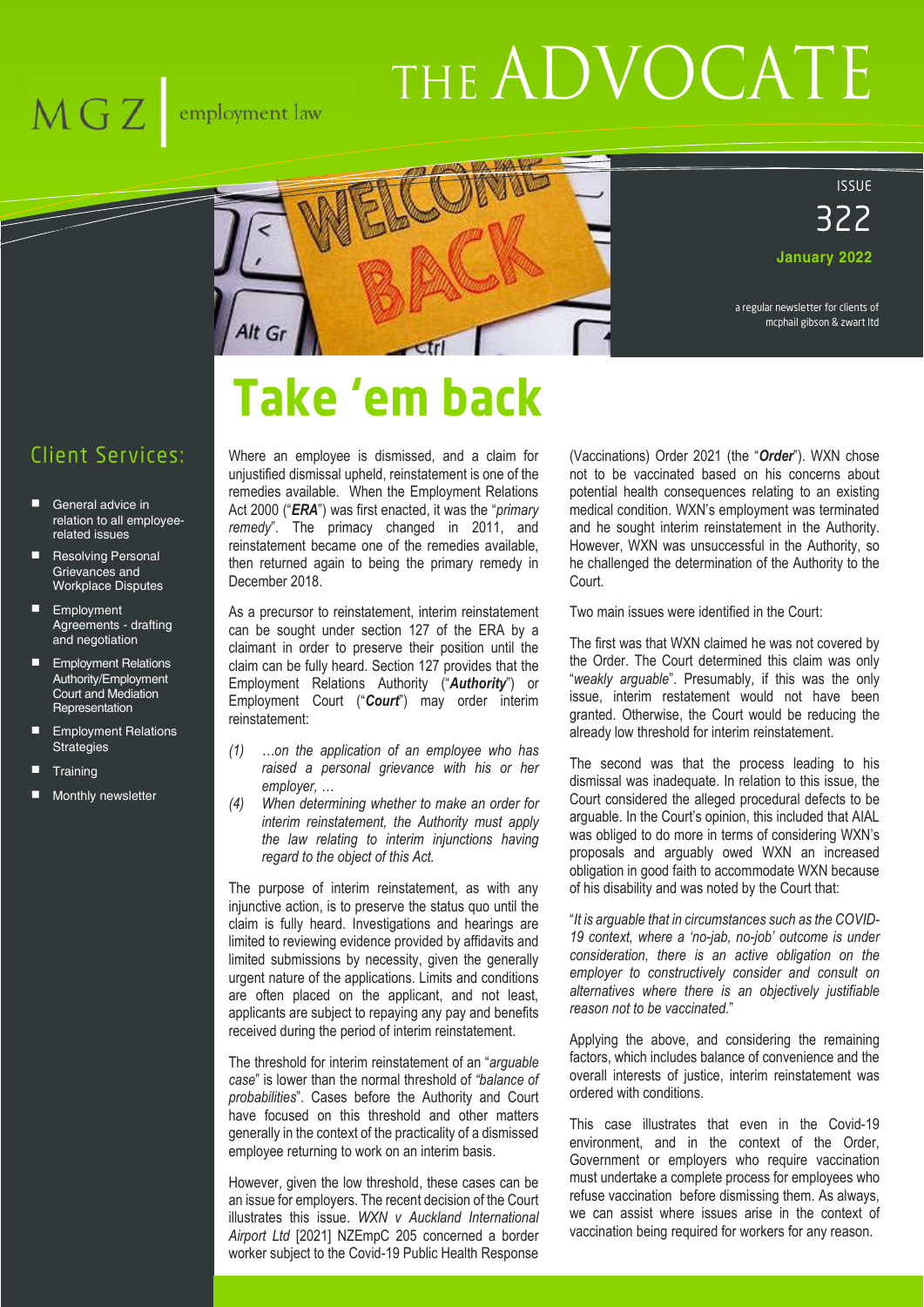# THE ADVOCATE





**January 2022**

a regular newsletter for clients of mcphail gibson & zwart ltd

# **Take 'em back**

#### Client Services:

 $\overline{\text{MG Z }}$  employment law

- General advice in relation to all employeerelated issues
- Resolving Personal Grievances and Workplace Disputes
- **Employment** Agreements - drafting and negotiation
- **Employment Relations** Authority/Employment Court and Mediation **Representation**
- Employment Relations **Strategies**
- **Training**
- Monthly newsletter

Where an employee is dismissed, and a claim for unjustified dismissal upheld, reinstatement is one of the remedies available. When the Employment Relations Act 2000 ("*ERA*") was first enacted, it was the "*primary remedy*". The primacy changed in 2011, and reinstatement became one of the remedies available, then returned again to being the primary remedy in December 2018.

As a precursor to reinstatement, interim reinstatement can be sought under section 127 of the ERA by a claimant in order to preserve their position until the claim can be fully heard. Section 127 provides that the Employment Relations Authority ("*Authority*") or Employment Court ("*Court*") may order interim reinstatement:

- *(1) …on the application of an employee who has raised a personal grievance with his or her employer, …*
- *(4) When determining whether to make an order for interim reinstatement, the Authority must apply the law relating to interim injunctions having regard to the object of this Act.*

The purpose of interim reinstatement, as with any injunctive action, is to preserve the status quo until the claim is fully heard. Investigations and hearings are limited to reviewing evidence provided by affidavits and limited submissions by necessity, given the generally urgent nature of the applications. Limits and conditions are often placed on the applicant, and not least, applicants are subject to repaying any pay and benefits received during the period of interim reinstatement.

The threshold for interim reinstatement of an "*arguable case*" is lower than the normal threshold of *"balance of probabilities*". Cases before the Authority and Court have focused on this threshold and other matters generally in the context of the practicality of a dismissed employee returning to work on an interim basis.

However, given the low threshold, these cases can be an issue for employers. The recent decision of the Court illustrates this issue. *WXN v Auckland International Airport Ltd* [2021] NZEmpC 205 concerned a border worker subject to the Covid-19 Public Health Response

(Vaccinations) Order 2021 (the "*Order*"). WXN chose not to be vaccinated based on his concerns about potential health consequences relating to an existing medical condition. WXN's employment was terminated and he sought interim reinstatement in the Authority. However, WXN was unsuccessful in the Authority, so he challenged the determination of the Authority to the Court.

Two main issues were identified in the Court:

The first was that WXN claimed he was not covered by the Order. The Court determined this claim was only "*weakly arguable*". Presumably, if this was the only issue, interim restatement would not have been granted. Otherwise, the Court would be reducing the already low threshold for interim reinstatement.

The second was that the process leading to his dismissal was inadequate. In relation to this issue, the Court considered the alleged procedural defects to be arguable. In the Court's opinion, this included that AIAL was obliged to do more in terms of considering WXN's proposals and arguably owed WXN an increased obligation in good faith to accommodate WXN because of his disability and was noted by the Court that:

"*It is arguable that in circumstances such as the COVID-19 context, where a 'no-jab, no-job' outcome is under consideration, there is an active obligation on the employer to constructively consider and consult on alternatives where there is an objectively justifiable reason not to be vaccinated.*"

Applying the above, and considering the remaining factors, which includes balance of convenience and the overall interests of justice, interim reinstatement was ordered with conditions.

This case illustrates that even in the Covid-19 environment, and in the context of the Order, Government or employers who require vaccination must undertake a complete process for employees who refuse vaccination before dismissing them. As always, we can assist where issues arise in the context of vaccination being required for workers for any reason.